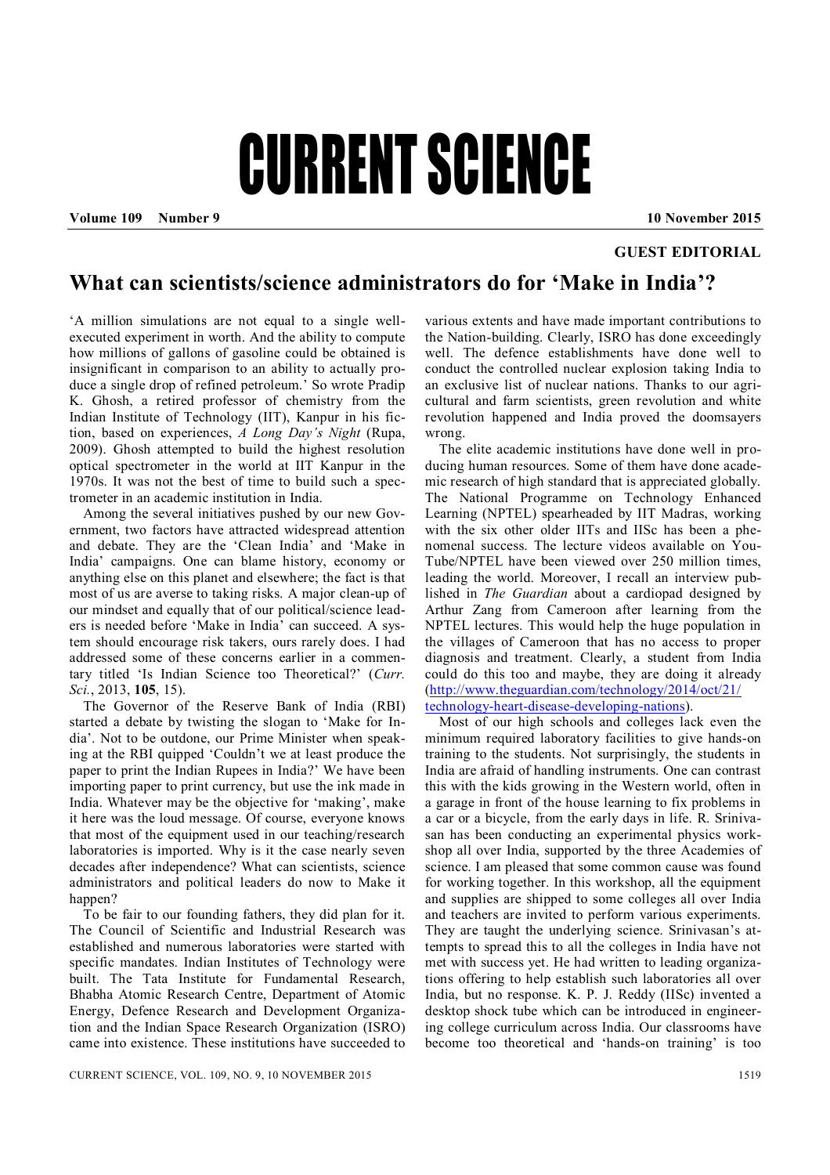## CURRENT SCIENCE

**Volume 109 Number 9 10 November 2015**

## **GUEST EDITORIAL**

## **What can scientists/science administrators do for 'Make in India'?**

'A million simulations are not equal to a single wellexecuted experiment in worth. And the ability to compute how millions of gallons of gasoline could be obtained is insignificant in comparison to an ability to actually produce a single drop of refined petroleum.' So wrote Pradip K. Ghosh, a retired professor of chemistry from the Indian Institute of Technology (IIT), Kanpur in his fiction, based on experiences, *A Long Day's Night* (Rupa, 2009). Ghosh attempted to build the highest resolution optical spectrometer in the world at IIT Kanpur in the 1970s. It was not the best of time to build such a spectrometer in an academic institution in India.

Among the several initiatives pushed by our new Government, two factors have attracted widespread attention and debate. They are the 'Clean India' and 'Make in India' campaigns. One can blame history, economy or anything else on this planet and elsewhere; the fact is that most of us are averse to taking risks. A major clean-up of our mindset and equally that of our political/science leaders is needed before 'Make in India' can succeed. A system should encourage risk takers, ours rarely does. I had addressed some of these concerns earlier in a commentary titled 'Is Indian Science too Theoretical?' (*Curr. Sci.*, 2013, **105**, 15).

The Governor of the Reserve Bank of India (RBI) started a debate by twisting the slogan to 'Make for India'. Not to be outdone, our Prime Minister when speaking at the RBI quipped 'Couldn't we at least produce the paper to print the Indian Rupees in India?' We have been importing paper to print currency, but use the ink made in India. Whatever may be the objective for 'making', make it here was the loud message. Of course, everyone knows that most of the equipment used in our teaching/research laboratories is imported. Why is it the case nearly seven decades after independence? What can scientists, science administrators and political leaders do now to Make it happen?

To be fair to our founding fathers, they did plan for it. The Council of Scientific and Industrial Research was established and numerous laboratories were started with specific mandates. Indian Institutes of Technology were built. The Tata Institute for Fundamental Research, Bhabha Atomic Research Centre, Department of Atomic Energy, Defence Research and Development Organization and the Indian Space Research Organization (ISRO) came into existence. These institutions have succeeded to

various extents and have made important contributions to the Nation-building. Clearly, ISRO has done exceedingly well. The defence establishments have done well to conduct the controlled nuclear explosion taking India to an exclusive list of nuclear nations. Thanks to our agricultural and farm scientists, green revolution and white revolution happened and India proved the doomsayers wrong.

The elite academic institutions have done well in producing human resources. Some of them have done academic research of high standard that is appreciated globally. The National Programme on Technology Enhanced Learning (NPTEL) spearheaded by IIT Madras, working with the six other older IITs and IISc has been a phenomenal success. The lecture videos available on You-Tube/NPTEL have been viewed over 250 million times, leading the world. Moreover, I recall an interview published in *The Guardian* about a cardiopad designed by Arthur Zang from Cameroon after learning from the NPTEL lectures. This would help the huge population in the villages of Cameroon that has no access to proper diagnosis and treatment. Clearly, a student from India could do this too and maybe, they are doing it already (http://www.theguardian.com/technology/2014/oct/21/ technology-heart-disease-developing-nations).

Most of our high schools and colleges lack even the minimum required laboratory facilities to give hands-on training to the students. Not surprisingly, the students in India are afraid of handling instruments. One can contrast this with the kids growing in the Western world, often in a garage in front of the house learning to fix problems in a car or a bicycle, from the early days in life. R. Srinivasan has been conducting an experimental physics workshop all over India, supported by the three Academies of science. I am pleased that some common cause was found for working together. In this workshop, all the equipment and supplies are shipped to some colleges all over India and teachers are invited to perform various experiments. They are taught the underlying science. Srinivasan's attempts to spread this to all the colleges in India have not met with success yet. He had written to leading organizations offering to help establish such laboratories all over India, but no response. K. P. J. Reddy (IISc) invented a desktop shock tube which can be introduced in engineering college curriculum across India. Our classrooms have become too theoretical and 'hands-on training' is too